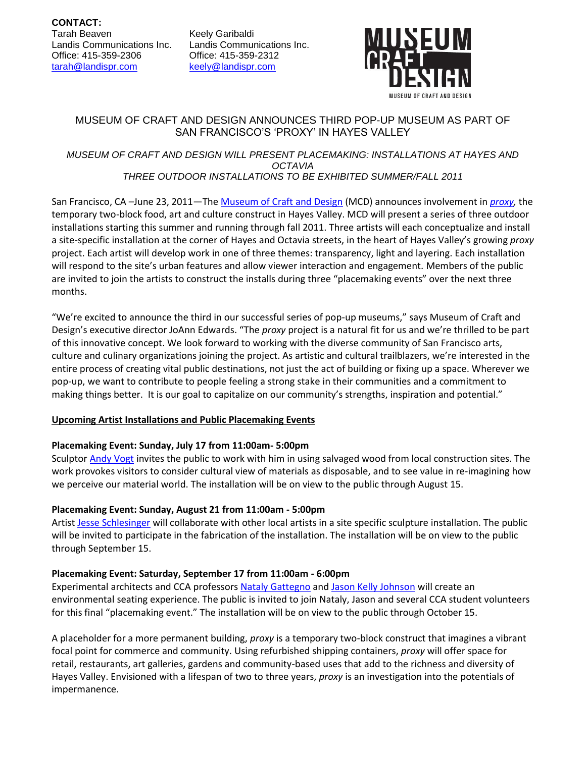Keely Garibaldi Landis Communications Inc. Office: 415-359-2312 [keely@landispr.com](mailto:keely@landispr.com)



# MUSEUM OF CRAFT AND DESIGN ANNOUNCES THIRD POP-UP MUSEUM AS PART OF SAN FRANCISCO'S 'PROXY' IN HAYES VALLEY

#### *MUSEUM OF CRAFT AND DESIGN WILL PRESENT PLACEMAKING: INSTALLATIONS AT HAYES AND OCTAVIA THREE OUTDOOR INSTALLATIONS TO BE EXHIBITED SUMMER/FALL 2011*

San Francisco, CA –June 23, 2011—Th[e Museum of Craft and Design](http://www.sfmcd.org/) (MCD) announces involvement in *[proxy,](http://envelopead.com/proj_octaviakl.html)* the temporary two-block food, art and culture construct in Hayes Valley. MCD will present a series of three outdoor installations starting this summer and running through fall 2011. Three artists will each conceptualize and install a site-specific installation at the corner of Hayes and Octavia streets, in the heart of Hayes Valley's growing *proxy* project. Each artist will develop work in one of three themes: transparency, light and layering. Each installation will respond to the site's urban features and allow viewer interaction and engagement. Members of the public are invited to join the artists to construct the installs during three "placemaking events" over the next three months.

"We're excited to announce the third in our successful series of pop-up museums," says Museum of Craft and Design's executive director JoAnn Edwards. "The *proxy* project is a natural fit for us and we're thrilled to be part of this innovative concept. We look forward to working with the diverse community of San Francisco arts, culture and culinary organizations joining the project. As artistic and cultural trailblazers, we're interested in the entire process of creating vital public destinations, not just the act of building or fixing up a space. Wherever we pop-up, we want to contribute to people feeling a strong stake in their communities and a commitment to making things better. It is our goal to capitalize on our community's strengths, inspiration and potential."

## **Upcoming Artist Installations and Public Placemaking Events**

## **Placemaking Event: Sunday, July 17 from 11:00am- 5:00pm**

Sculpto[r Andy Vogt](http://www.andyvogt.com/) invites the public to work with him in using salvaged wood from local construction sites. The work provokes visitors to consider cultural view of materials as disposable, and to see value in re-imagining how we perceive our material world. The installation will be on view to the public through August 15.

## **Placemaking Event: Sunday, August 21 from 11:00am - 5:00pm**

Artist [Jesse Schlesinger](http://www.eleanorharwood.com/Site/Jesse_Schlesinger_CV.html) will collaborate with other local artists in a site specific sculpture installation. The public will be invited to participate in the fabrication of the installation. The installation will be on view to the public through September 15.

## **Placemaking Event: Saturday, September 17 from 11:00am - 6:00pm**

Experimental architects and CCA professors [Nataly Gattegno](http://www.future-cities-lab.net/) and [Jason Kelly Johnson](http://www.future-cities-lab.net/) will create an environmental seating experience. The public is invited to join Nataly, Jason and several CCA student volunteers for this final "placemaking event." The installation will be on view to the public through October 15.

A placeholder for a more permanent building, *proxy* is a temporary two-block construct that imagines a vibrant focal point for commerce and community. Using refurbished shipping containers, *proxy* will offer space for retail, restaurants, art galleries, gardens and community-based uses that add to the richness and diversity of Hayes Valley. Envisioned with a lifespan of two to three years, *proxy* is an investigation into the potentials of impermanence.